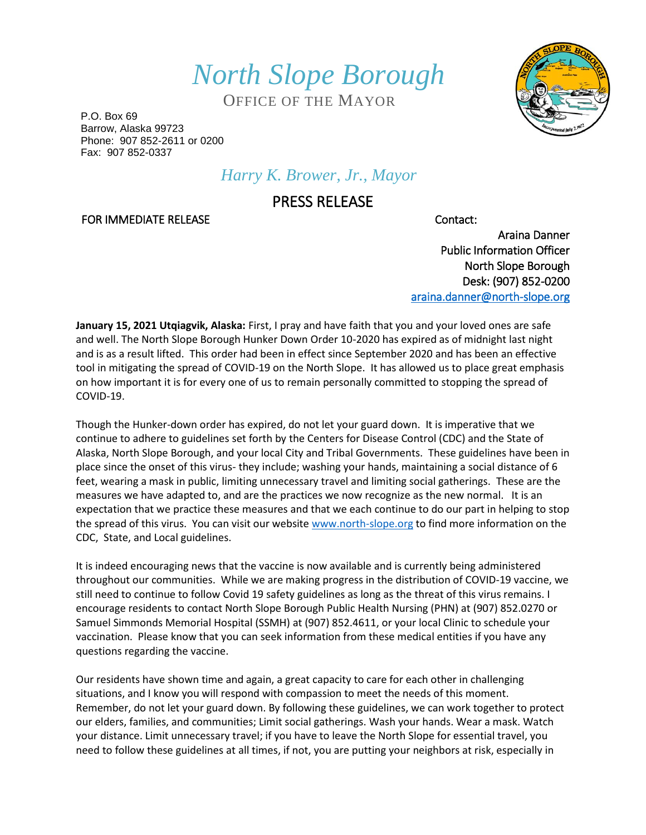*North Slope Borough*

OFFICE OF THE MAYOR

P.O. Box 69 Barrow, Alaska 99723 Phone: 907 852-2611 or 0200 Fax: 907 852-0337

## *Harry K. Brower, Jr., Mayor*

## PRESS RELEASE

FOR IMMEDIATE RELEASE CONTACTE CONTACTE CONTACTE CONTACTE

Araina Danner Public Information Officer North Slope Borough Desk: (907) 852-0200 [araina.danner@north-slope.org](mailto:araina.danner@north-slope.org) 

**January 15, 2021 Utqiagvik, Alaska:** First, I pray and have faith that you and your loved ones are safe and well. The North Slope Borough Hunker Down Order 10-2020 has expired as of midnight last night and is as a result lifted. This order had been in effect since September 2020 and has been an effective tool in mitigating the spread of COVID-19 on the North Slope. It has allowed us to place great emphasis on how important it is for every one of us to remain personally committed to stopping the spread of COVID-19.

Though the Hunker-down order has expired, do not let your guard down. It is imperative that we continue to adhere to guidelines set forth by the Centers for Disease Control (CDC) and the State of Alaska, North Slope Borough, and your local City and Tribal Governments. These guidelines have been in place since the onset of this virus- they include; washing your hands, maintaining a social distance of 6 feet, wearing a mask in public, limiting unnecessary travel and limiting social gatherings. These are the measures we have adapted to, and are the practices we now recognize as the new normal. It is an expectation that we practice these measures and that we each continue to do our part in helping to stop the spread of this virus. You can visit our websit[e www.north-slope.org](http://www.north-slope.org/) to find more information on the CDC, State, and Local guidelines.

It is indeed encouraging news that the vaccine is now available and is currently being administered throughout our communities. While we are making progress in the distribution of COVID-19 vaccine, we still need to continue to follow Covid 19 safety guidelines as long as the threat of this virus remains. I encourage residents to contact North Slope Borough Public Health Nursing (PHN) at (907) 852.0270 or Samuel Simmonds Memorial Hospital (SSMH) at (907) 852.4611, or your local Clinic to schedule your vaccination. Please know that you can seek information from these medical entities if you have any questions regarding the vaccine.

Our residents have shown time and again, a great capacity to care for each other in challenging situations, and I know you will respond with compassion to meet the needs of this moment. Remember, do not let your guard down. By following these guidelines, we can work together to protect our elders, families, and communities; Limit social gatherings. Wash your hands. Wear a mask. Watch your distance. Limit unnecessary travel; if you have to leave the North Slope for essential travel, you need to follow these guidelines at all times, if not, you are putting your neighbors at risk, especially in